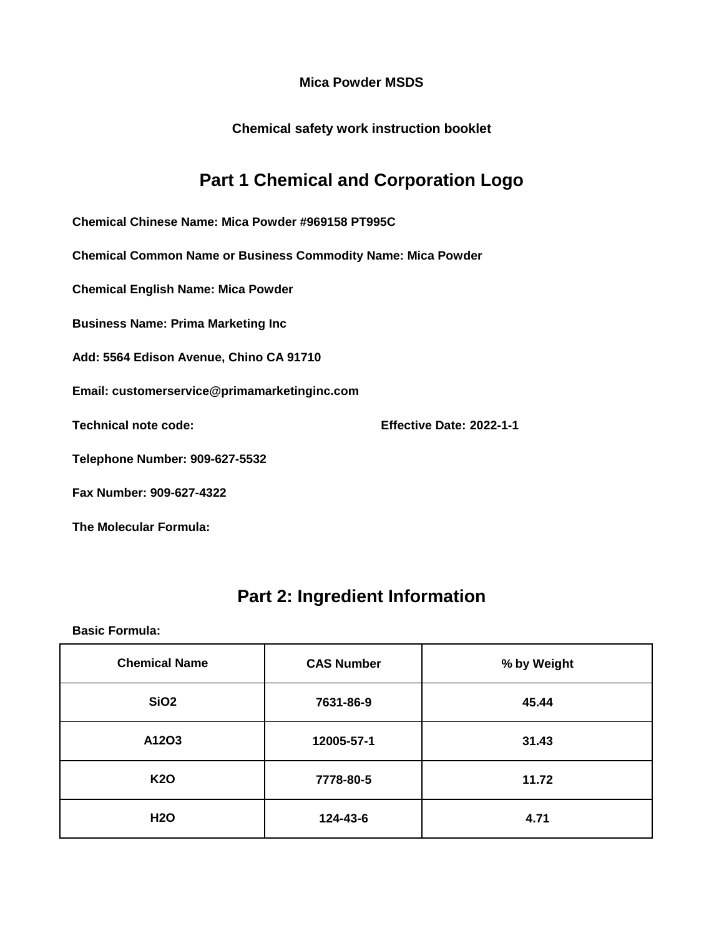**Chemical safety work instruction booklet**

## **Part 1 Chemical and Corporation Logo**

**Chemical Chinese Name: Mica Powder #969158 PT995C**

**Chemical Common Name or Business Commodity Name: Mica Powder**

**Chemical English Name: Mica Powder**

**Business Name: Prima Marketing Inc**

**Add: 5564 Edison Avenue, Chino CA 91710**

**Email: customerservice@primamarketinginc.com**

**Technical note code: Effective Date: 2022-1-1**

**Telephone Number: 909-627-5532**

**Fax Number: 909-627-4322**

**The Molecular Formula:**

### **Part 2: Ingredient Information**

| <b>Chemical Name</b> | <b>CAS Number</b> | % by Weight |
|----------------------|-------------------|-------------|
| SiO <sub>2</sub>     | 7631-86-9         | 45.44       |
| A12O3                | 12005-57-1        | 31.43       |
| <b>K20</b>           | 7778-80-5         | 11.72       |
| <b>H2O</b>           | 124-43-6          | 4.71        |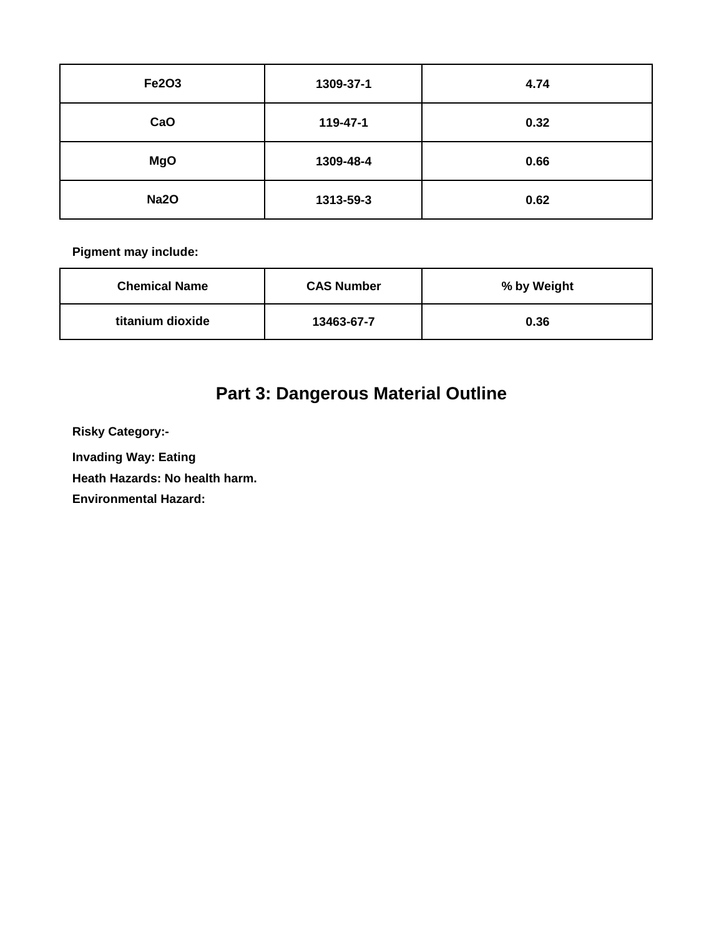| <b>Fe2O3</b> | 1309-37-1 | 4.74 |
|--------------|-----------|------|
| CaO          | 119-47-1  | 0.32 |
| <b>MgO</b>   | 1309-48-4 | 0.66 |
| <b>Na2O</b>  | 1313-59-3 | 0.62 |

| <b>Chemical Name</b> | <b>CAS Number</b> | % by Weight |
|----------------------|-------------------|-------------|
| titanium dioxide     | 13463-67-7        | 0.36        |

# **Part 3: Dangerous Material Outline**

**Risky Category:-**

**Invading Way: Eating** 

**Heath Hazards: No health harm.**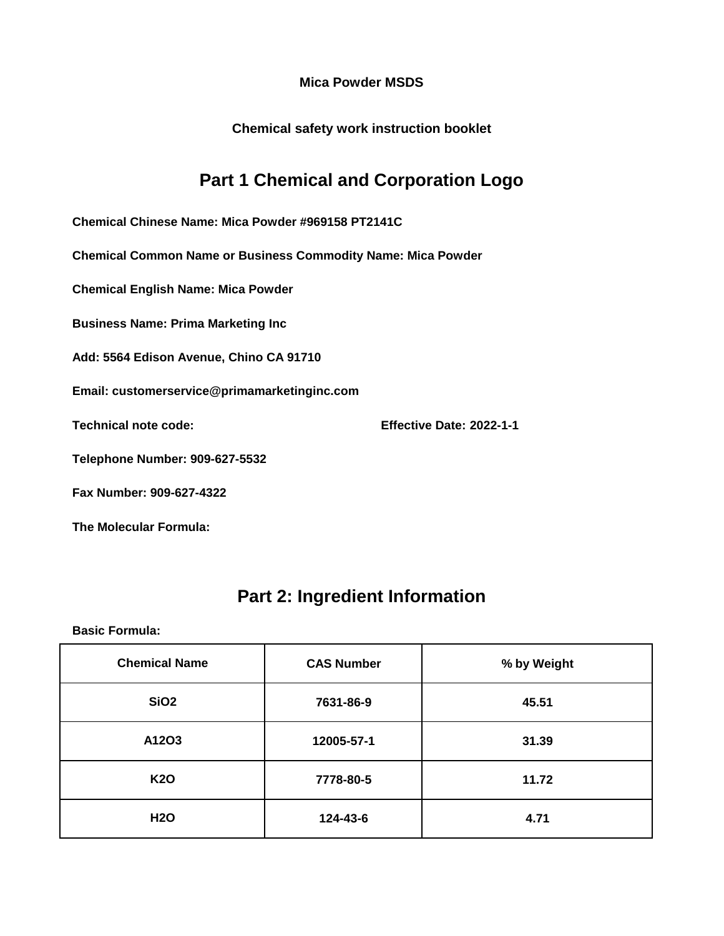**Chemical safety work instruction booklet**

## **Part 1 Chemical and Corporation Logo**

**Chemical Chinese Name: Mica Powder #969158 PT2141C**

**Chemical Common Name or Business Commodity Name: Mica Powder**

**Chemical English Name: Mica Powder**

**Business Name: Prima Marketing Inc**

**Add: 5564 Edison Avenue, Chino CA 91710**

**Email: customerservice@primamarketinginc.com**

**Technical note code: Effective Date: 2022-1-1**

**Telephone Number: 909-627-5532**

**Fax Number: 909-627-4322**

**The Molecular Formula:**

## **Part 2: Ingredient Information**

| <b>Chemical Name</b> | <b>CAS Number</b> | % by Weight |
|----------------------|-------------------|-------------|
| SiO <sub>2</sub>     | 7631-86-9         | 45.51       |
| A12O3                | 12005-57-1        | 31.39       |
| <b>K20</b>           | 7778-80-5         | 11.72       |
| <b>H2O</b>           | 124-43-6          | 4.71        |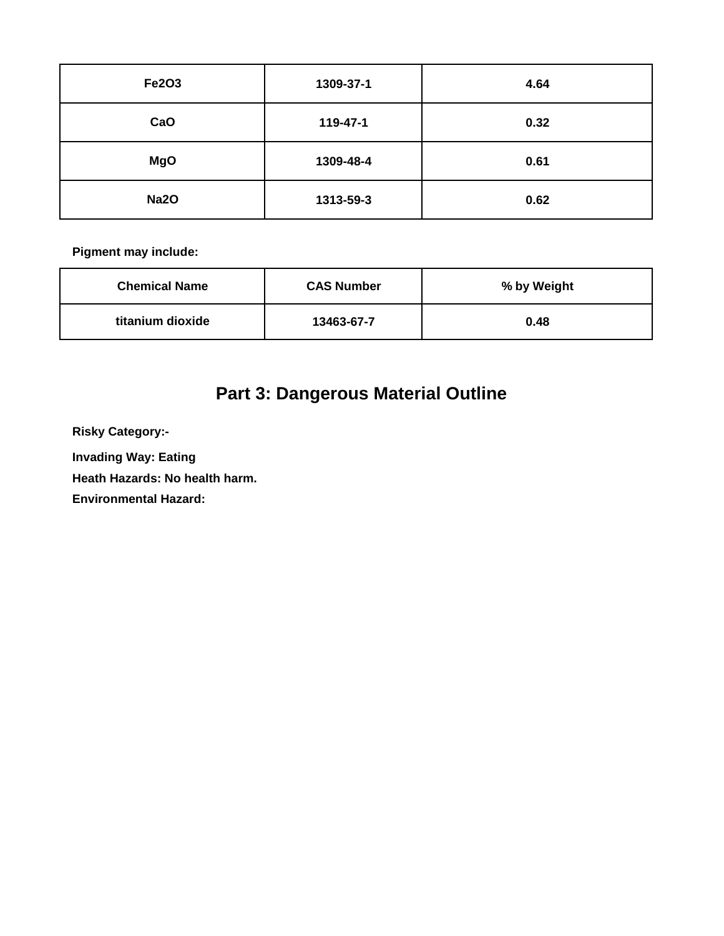| Fe2O3       | 1309-37-1 | 4.64 |
|-------------|-----------|------|
| CaO         | 119-47-1  | 0.32 |
| <b>MgO</b>  | 1309-48-4 | 0.61 |
| <b>Na2O</b> | 1313-59-3 | 0.62 |

| <b>Chemical Name</b> | <b>CAS Number</b> | % by Weight |
|----------------------|-------------------|-------------|
| titanium dioxide     | 13463-67-7        | 0.48        |

# **Part 3: Dangerous Material Outline**

**Risky Category:-**

**Invading Way: Eating** 

**Heath Hazards: No health harm.**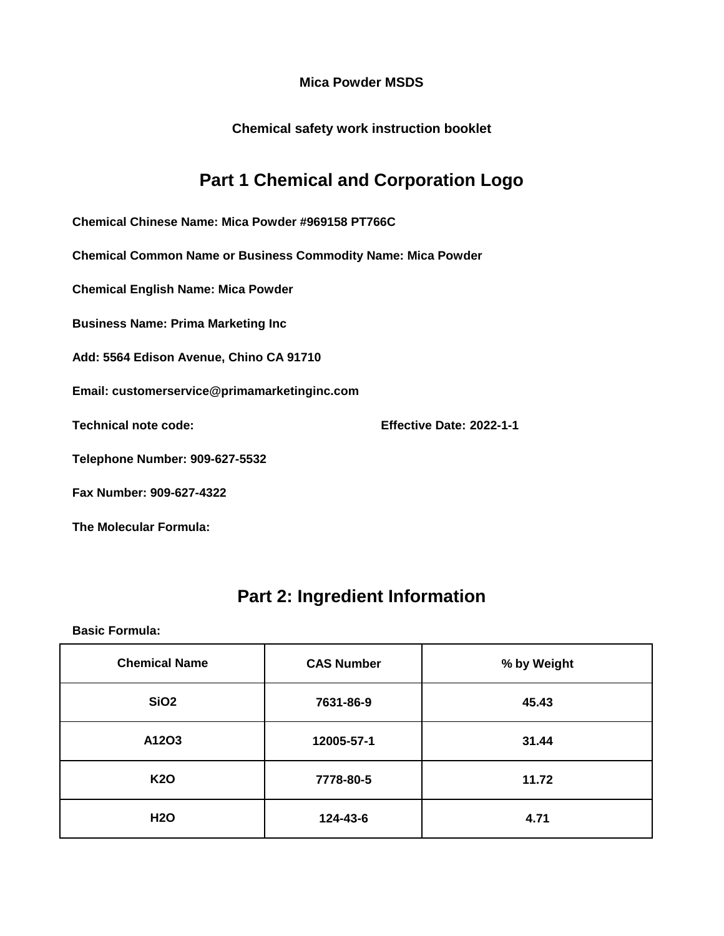**Chemical safety work instruction booklet**

## **Part 1 Chemical and Corporation Logo**

**Chemical Chinese Name: Mica Powder #969158 PT766C**

**Chemical Common Name or Business Commodity Name: Mica Powder**

**Chemical English Name: Mica Powder**

**Business Name: Prima Marketing Inc**

**Add: 5564 Edison Avenue, Chino CA 91710**

**Email: customerservice@primamarketinginc.com**

**Technical note code: Effective Date: 2022-1-1**

**Telephone Number: 909-627-5532**

**Fax Number: 909-627-4322**

**The Molecular Formula:**

### **Part 2: Ingredient Information**

| <b>Chemical Name</b> | <b>CAS Number</b> | % by Weight |
|----------------------|-------------------|-------------|
| SiO <sub>2</sub>     | 7631-86-9         | 45.43       |
| A12O3                | 12005-57-1        | 31.44       |
| <b>K20</b>           | 7778-80-5         | 11.72       |
| <b>H2O</b>           | 124-43-6          | 4.71        |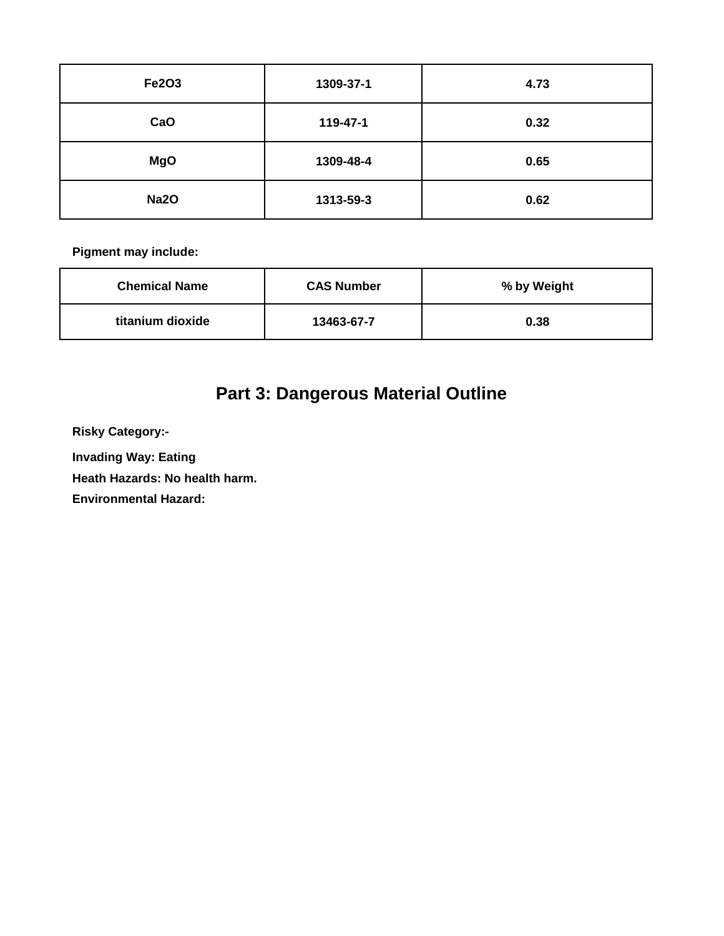| <b>Fe2O3</b> | 1309-37-1 | 4.73 |
|--------------|-----------|------|
| CaO          | 119-47-1  | 0.32 |
| <b>MgO</b>   | 1309-48-4 | 0.65 |
| <b>Na2O</b>  | 1313-59-3 | 0.62 |

| <b>Chemical Name</b> | <b>CAS Number</b> | % by Weight |
|----------------------|-------------------|-------------|
| titanium dioxide     | 13463-67-7        | 0.38        |

# **Part 3: Dangerous Material Outline**

**Risky Category:-**

**Invading Way: Eating** 

**Heath Hazards: No health harm.**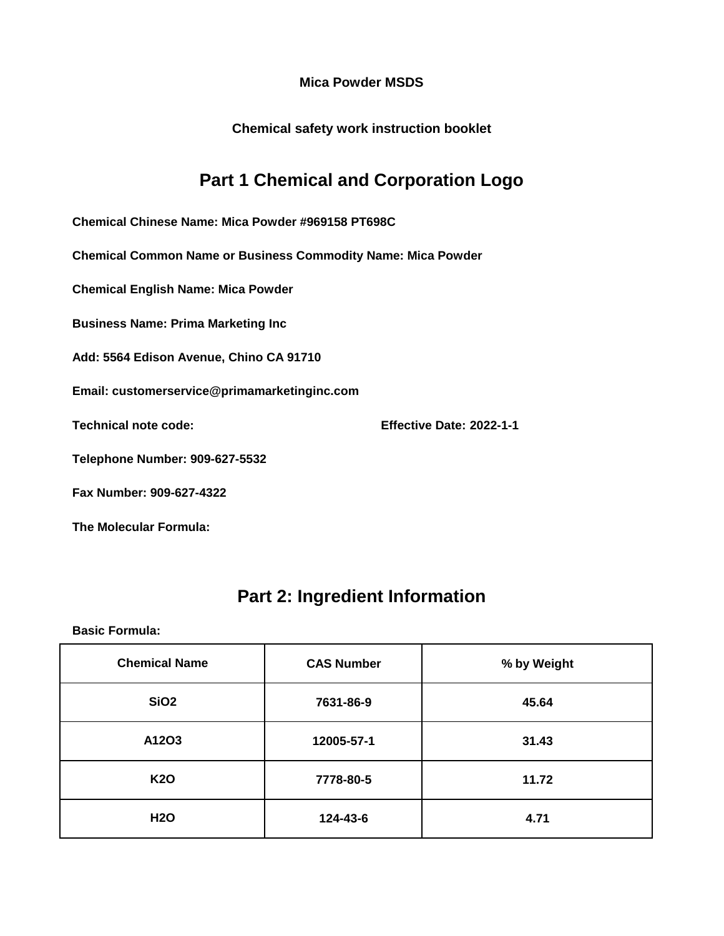**Chemical safety work instruction booklet**

## **Part 1 Chemical and Corporation Logo**

**Chemical Chinese Name: Mica Powder #969158 PT698C**

**Chemical Common Name or Business Commodity Name: Mica Powder**

**Chemical English Name: Mica Powder**

**Business Name: Prima Marketing Inc**

**Add: 5564 Edison Avenue, Chino CA 91710**

**Email: customerservice@primamarketinginc.com**

**Technical note code: Effective Date: 2022-1-1**

**Telephone Number: 909-627-5532**

**Fax Number: 909-627-4322**

**The Molecular Formula:**

### **Part 2: Ingredient Information**

| <b>Chemical Name</b> | <b>CAS Number</b> | % by Weight |
|----------------------|-------------------|-------------|
| SiO <sub>2</sub>     | 7631-86-9         | 45.64       |
| A12O3                | 12005-57-1        | 31.43       |
| <b>K20</b>           | 7778-80-5         | 11.72       |
| <b>H2O</b>           | 124-43-6          | 4.71        |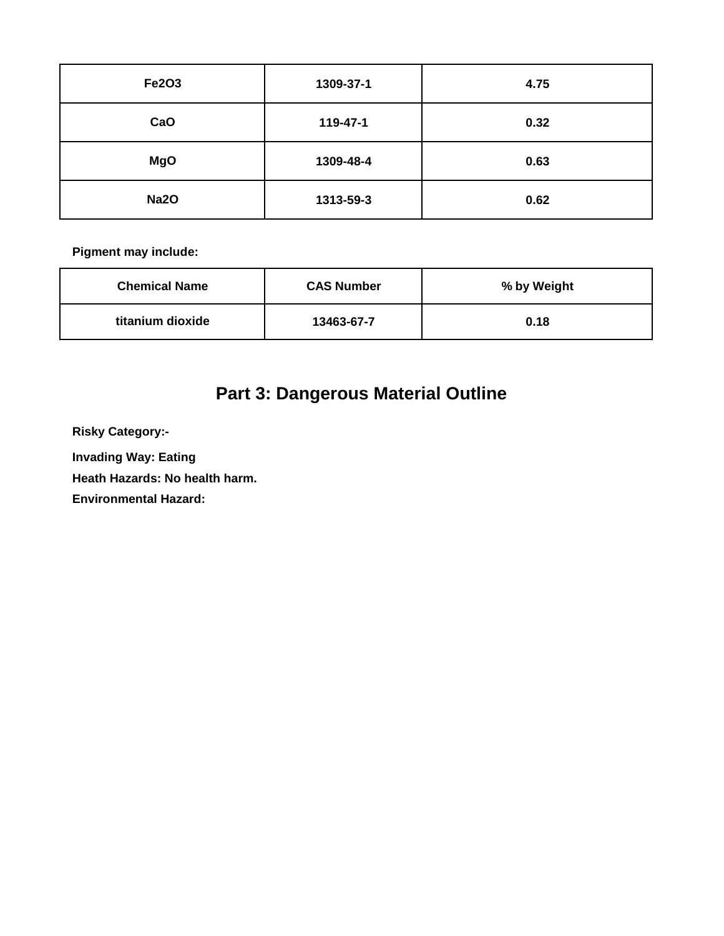| <b>Fe2O3</b> | 1309-37-1 | 4.75 |
|--------------|-----------|------|
| CaO          | 119-47-1  | 0.32 |
| <b>MgO</b>   | 1309-48-4 | 0.63 |
| <b>Na2O</b>  | 1313-59-3 | 0.62 |

| <b>Chemical Name</b> | <b>CAS Number</b> | % by Weight |
|----------------------|-------------------|-------------|
| titanium dioxide     | 13463-67-7        | 0.18        |

# **Part 3: Dangerous Material Outline**

**Risky Category:-**

**Invading Way: Eating** 

**Heath Hazards: No health harm.**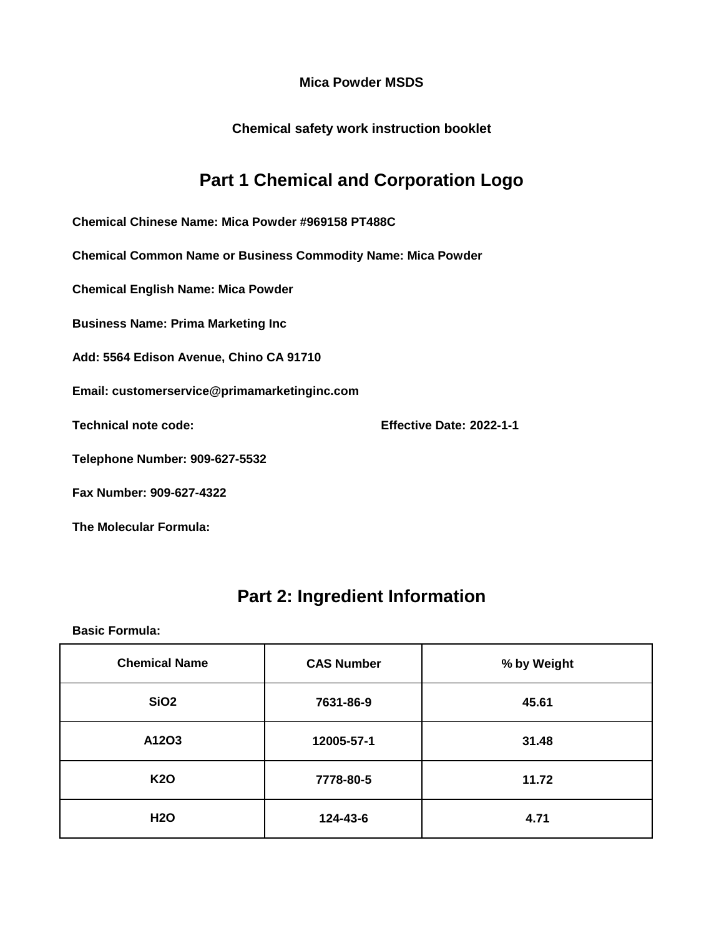**Chemical safety work instruction booklet**

## **Part 1 Chemical and Corporation Logo**

**Chemical Chinese Name: Mica Powder #969158 PT488C**

**Chemical Common Name or Business Commodity Name: Mica Powder**

**Chemical English Name: Mica Powder**

**Business Name: Prima Marketing Inc**

**Add: 5564 Edison Avenue, Chino CA 91710**

**Email: customerservice@primamarketinginc.com**

**Technical note code: Effective Date: 2022-1-1**

**Telephone Number: 909-627-5532**

**Fax Number: 909-627-4322**

**The Molecular Formula:**

### **Part 2: Ingredient Information**

| <b>Chemical Name</b> | <b>CAS Number</b> | % by Weight |
|----------------------|-------------------|-------------|
| SiO <sub>2</sub>     | 7631-86-9         | 45.61       |
| A12O3                | 12005-57-1        | 31.48       |
| <b>K20</b>           | 7778-80-5         | 11.72       |
| <b>H2O</b>           | 124-43-6          | 4.71        |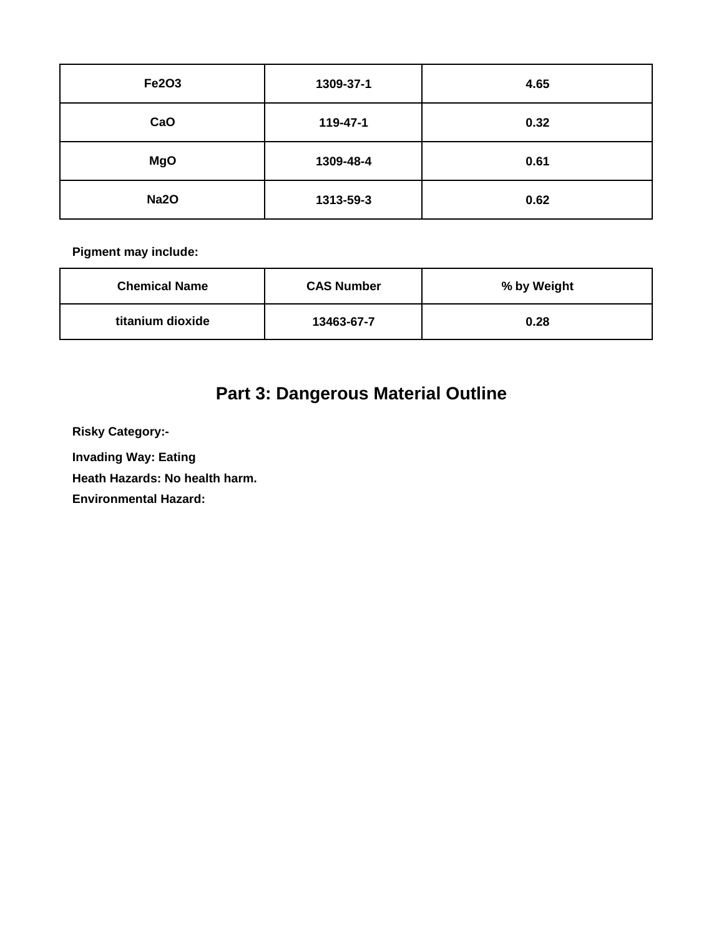| Fe2O3       | 1309-37-1 | 4.65 |
|-------------|-----------|------|
| CaO         | 119-47-1  | 0.32 |
| <b>MgO</b>  | 1309-48-4 | 0.61 |
| <b>Na2O</b> | 1313-59-3 | 0.62 |

| <b>Chemical Name</b> | <b>CAS Number</b> | % by Weight |
|----------------------|-------------------|-------------|
| titanium dioxide     | 13463-67-7        | 0.28        |

# **Part 3: Dangerous Material Outline**

**Risky Category:-**

**Invading Way: Eating** 

**Heath Hazards: No health harm.**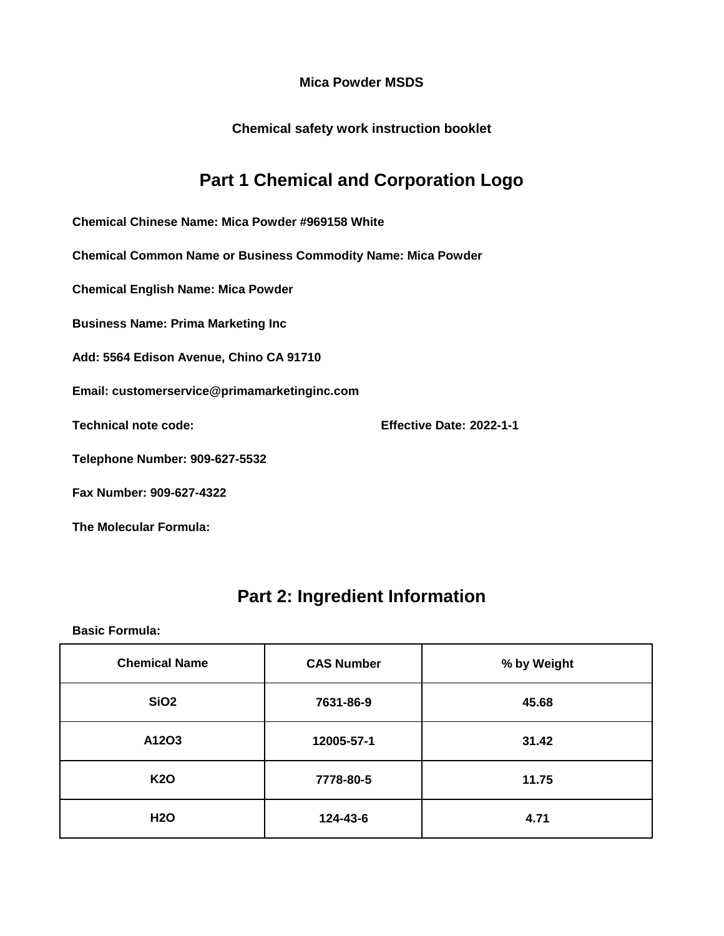**Chemical safety work instruction booklet**

## **Part 1 Chemical and Corporation Logo**

**Chemical Chinese Name: Mica Powder #969158 White**

**Chemical Common Name or Business Commodity Name: Mica Powder**

**Chemical English Name: Mica Powder**

**Business Name: Prima Marketing Inc**

**Add: 5564 Edison Avenue, Chino CA 91710**

**Email: customerservice@primamarketinginc.com**

**Technical note code: Effective Date: 2022-1-1**

**Telephone Number: 909-627-5532**

**Fax Number: 909-627-4322**

**The Molecular Formula:**

### **Part 2: Ingredient Information**

| <b>Chemical Name</b> | <b>CAS Number</b> | % by Weight |
|----------------------|-------------------|-------------|
| SiO <sub>2</sub>     | 7631-86-9         | 45.68       |
| A12O3                | 12005-57-1        | 31.42       |
| <b>K20</b>           | 7778-80-5         | 11.75       |
| <b>H2O</b>           | 124-43-6          | 4.71        |